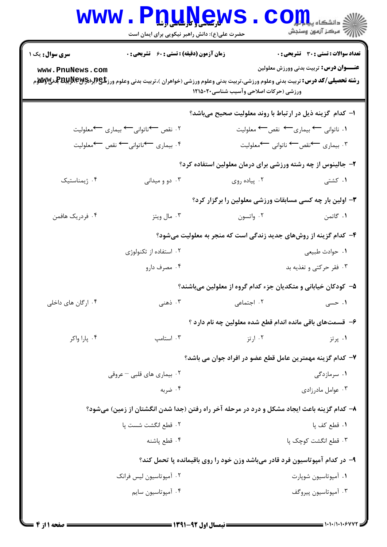## Www.PnuNews.Com

حضرت علی(ع): دانش راهبر نیکویی برای ایمان است

| <b>سری سوال :</b> یک ۱                                                      | <b>زمان آزمون (دقیقه) : تستی : 60 ٪ تشریحی : 0</b>                                                                                                   |                                                             | <b>تعداد سوالات : تستی : 30 ٪ تشریحی : 0</b><br><b>عنـــوان درس:</b> تربیت بدنی وورزش معلولین |  |
|-----------------------------------------------------------------------------|------------------------------------------------------------------------------------------------------------------------------------------------------|-------------------------------------------------------------|-----------------------------------------------------------------------------------------------|--|
| www.PnuNews.com                                                             | <b>رشته تحصیلی/کد درس:</b> تربیت بدنی وعلوم ورزشی،تربیت بدنی وعلوم ورزشی (خواهران )،تربیت بدنی وعلوم ورز <b>شگی(لپلېلېلېلېلېلېلېلېله کې په م</b> ولا | ورزشی (حرکات اصلاحی وآسیب شناسی۲۰۵۰۲۰                       |                                                                                               |  |
|                                                                             |                                                                                                                                                      | ا- کدام گزینه ذیل در ارتباط با روند معلولیت صحیح میباشد؟    |                                                                                               |  |
|                                                                             | ۰۲ نقص کاناتوانی کا بیماری کمعلولیت                                                                                                                  |                                                             | ۱. ناتوانی ← بیماری← نقص← معلولیت                                                             |  |
|                                                                             | ۰۴ بیماری <del>ک</del> ناتوانی کے نقص کمعلولیت                                                                                                       |                                                             | ۰۳ بیماری کنقص <sup>ـــــ</sup> ناتوانی <sup>ـــــ</sup> معلولیت                              |  |
|                                                                             |                                                                                                                                                      | ۲- جالینوس از چه رشته ورزشی برای درمان معلولین استفاده کرد؟ |                                                                                               |  |
| ۰۴ ژیمناستیک                                                                | ۰۳ دو و میدانی                                                                                                                                       | ۰۲ پیاده روی                                                | ۰۱ کشتی                                                                                       |  |
| ۳- اولین بار چه کسی مسابقات ورزشی معلولین را برگزار کرد؟                    |                                                                                                                                                      |                                                             |                                                                                               |  |
| ۰۴ فردریک هافمن                                                             | ۰۳ مال ويتز                                                                                                                                          | ۰۲ واتسون وانسون                                            | ۰۱ گاتمن                                                                                      |  |
| ۴- کدام گزینه از روشهای جدید زندگی است که منجر به معلولیت میشود؟            |                                                                                                                                                      |                                                             |                                                                                               |  |
|                                                                             | ۰۲ استفاده از تکنولوژی                                                                                                                               |                                                             | ۰۱ حوادث طبیعی                                                                                |  |
|                                                                             | ۰۴ مصرف دارو                                                                                                                                         |                                                             | ۰۳ فقر حرکتی و تغذیه بد                                                                       |  |
| ۵– کودکان خیابانی و متکدیان جزء کدام گروه از معلولین میباشند؟               |                                                                                                                                                      |                                                             |                                                                                               |  |
| ۰۴ ارگان های داخلی                                                          |                                                                                                                                                      | ۰۲ اجتماعی مسلم است.<br>۲۰ اجتماعی                          | ۱. حسی                                                                                        |  |
|                                                                             |                                                                                                                                                      | ۶– قسمتهای باقی مانده اندام قطع شده معلولین چه نام دارد ؟   |                                                                                               |  |
| ۰۴ پارا واکر                                                                | ۰۳ استامب                                                                                                                                            | ۰۲ ارتز                                                     | ۰۱ پرتز                                                                                       |  |
| ٧– كدام گزينه مهمترين عامل قطع عضو در افراد جوان مي باشد؟                   |                                                                                                                                                      |                                                             |                                                                                               |  |
|                                                                             | ۰۲ بیماری های قلبی – عروقی                                                                                                                           |                                                             | ۰۱ سرمازدگی                                                                                   |  |
|                                                                             | ۰۴ ضربه                                                                                                                                              |                                                             | ۰۳ عوامل مادرزادی $\cdot$                                                                     |  |
|                                                                             | ۸– کدام گزینه باعث ایجاد مشکل و درد در مرحله آخر راه رفتن (جدا شدن انگشتان از زمین) میشود؟                                                           |                                                             |                                                                                               |  |
|                                                                             | ٢. قطع انگشت شست يا                                                                                                                                  |                                                             | ٠١. قطع کف پا                                                                                 |  |
|                                                                             | ۰۴ قطع پاشنه                                                                                                                                         |                                                             | ۰۳ قطع انگشت کوچک یا                                                                          |  |
| ۹- در کدام آمپوتاسیون فرد قادر میباشد وزن خود را روی باقیمانده پا تحمل کند؟ |                                                                                                                                                      |                                                             |                                                                                               |  |
|                                                                             | ۰۲ امپوتاسیون لیس فرانک                                                                                                                              |                                                             | ۰۱ آمپوتاسیون شوپارت                                                                          |  |
|                                                                             | ۰۴ آمپوتاسیون سایم                                                                                                                                   |                                                             | ۰۳ آمپوتاسيون پيروگف                                                                          |  |
|                                                                             |                                                                                                                                                      |                                                             |                                                                                               |  |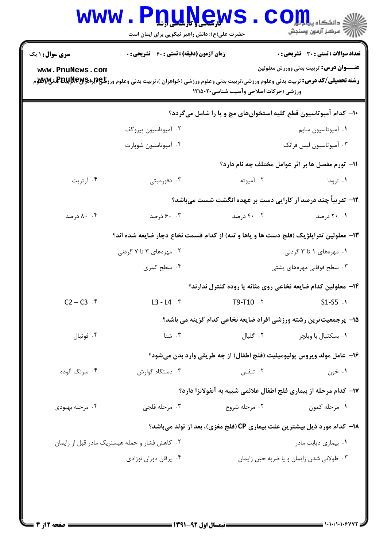| <b>سری سوال : ۱ یک</b> | <b>زمان آزمون (دقیقه) : تستی : 60 ٪ تشریحی : 0</b>                                                                                                   |                                               | <b>تعداد سوالات : تستی : 30 ٪ تشریحی : 0</b>                                   |
|------------------------|------------------------------------------------------------------------------------------------------------------------------------------------------|-----------------------------------------------|--------------------------------------------------------------------------------|
| www.PnuNews.com        | <b>رشته تحصیلی/کد درس:</b> تربیت بدنی وعلوم ورزشی،تربیت بدنی وعلوم ورزشی (خواهران )،تربیت بدنی وعلوم ورز <b>شگی(ببراپویلپولالپویلوی بو</b> لایی بازی | ورزشی (حرکات اصلاحی وآسیب شناسی۲۰۵۰۲۰ ۱۲۱۵۰۲۰ | <b>عنـــوان درس:</b> تربیت بدنی وورزش معلولین                                  |
|                        |                                                                                                                                                      |                                               | ∙۱- کدام آمپوتاسیون قطع کلیه استخوانهای مچ و پا را شامل میگردد؟                |
|                        | ۰۲ آمپوتاسیون پیروگف                                                                                                                                 |                                               | ٠١ أمپوتاسيون سايم                                                             |
|                        | ۰۴ آمپوتاسیون شوپارت                                                                                                                                 |                                               | ۰۳ آمپوتاسیون لیس فرانک                                                        |
|                        |                                                                                                                                                      |                                               | 11- تورم مفصل ها بر اثر عوامل مختلف چه نام دارد؟                               |
| ۰۴ آرتریت              | ۰۳ دفورمیتی                                                                                                                                          | ۰۲ آمپوته                                     | ۰۱ تروما                                                                       |
|                        |                                                                                                                                                      |                                               | <b>۱۲</b> - تقریباً چند درصد از کارایی دست بر عهده انگشت شست میباشد؟           |
| ۰.۴ درصد               | ۰۰ . ۶۰ درصد                                                                                                                                         | ۰۲ درصد                                       | ۰۱ ۲۰ درصد                                                                     |
|                        | ۱۳- معلولین تتراپلژیک (فلج دست ها و پاها و تنه) از کدام قسمت نخاع دچار ضایعه شده اند؟                                                                |                                               |                                                                                |
|                        | ۰۲ مهرههای ۳ تا ۷ گردنی                                                                                                                              | ۰۱ مهرههای ۱ تا ۳ گردنی                       |                                                                                |
|                        | ۰۴ سطح کمری                                                                                                                                          |                                               | ۰۳ سطح فوقانی مهرههای پشتی                                                     |
|                        |                                                                                                                                                      |                                               | ۱۴– معلولین کدام ضایعه نخاعی روی مثانه یا روده کنترل ندارند؟                   |
| $C2 - C3$ $.5$         | $L3 - L4$ $\cdot$ $\cdot$                                                                                                                            | T9-T10 Y                                      | S1-S5 .1                                                                       |
|                        |                                                                                                                                                      |                                               | ۱۵– پرجمعیتترین رشته ورزشی افراد ضایعه نخاعی کدام گزینه می باشد؟               |
| ۰۴ فوتبال              | ۰۳ شنا                                                                                                                                               | ۰۲ گلبال                                      | ۰۱ بسکتبال با ویلچر                                                            |
|                        |                                                                                                                                                      |                                               | ۱۶– عامل مولد ویروس پولیومیلیت (فلج اطفال) از چه طریقی وارد بدن میشود؟         |
| ۰۴ سرنگ آلوده          | ۰۳ دستگاه گوارش                                                                                                                                      | ۰۲ تنفس                                       | ۰۱ خون                                                                         |
|                        |                                                                                                                                                      |                                               | ۱۷– کدام مرحله از بیماری فلج اطفال علائمی شبیه به آنفولانزا دارد؟              |
| ۰۴ مرحله بهبودی        | ۰۳ مرحله فلجي                                                                                                                                        | ۰۲ مرحله شروع                                 | ۰۱ مرحله کمون                                                                  |
|                        |                                                                                                                                                      |                                               | <b>۱۸- کدام مورد ذیل بیشترین علت بیماری CP (فلج مغزی)، بعد از تولد میباشد؟</b> |
|                        | ۰۲ کاهش فشار و حمله هیستریک مادر قبل از زایمان                                                                                                       |                                               | ۰۱ بیماری دیابت مادر                                                           |
|                        | ۰۴ يرقان دوران نوزادي                                                                                                                                |                                               | ۰۳ طولانی شدن زایمان و یا ضربه حین زایمان                                      |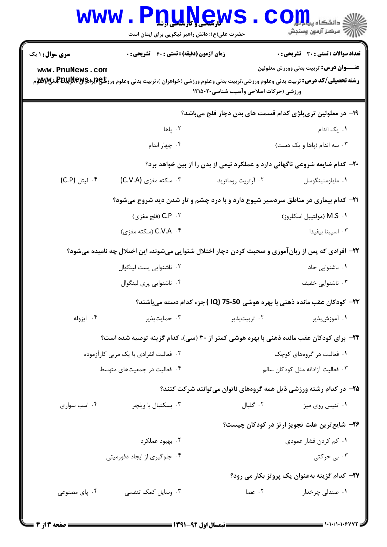| <b>WWW</b>                                                               | حضرت علی(ع): دانش راهبر نیکویی برای ایمان است      | <b>DTIVE'M2</b>                             | ي<br>چ دانشکاه پ <b>یا با پ</b><br><i>الل</i> آ 'مرڪز آزمون وسنڊش                                                                                                                                                                                                                            |  |  |  |
|--------------------------------------------------------------------------|----------------------------------------------------|---------------------------------------------|----------------------------------------------------------------------------------------------------------------------------------------------------------------------------------------------------------------------------------------------------------------------------------------------|--|--|--|
| <b>سری سوال :</b> ۱ یک                                                   | <b>زمان آزمون (دقیقه) : تستی : 60 ٪ تشریحی : 0</b> |                                             | تعداد سوالات : تستي : 30 ٪ تشريحي : 0                                                                                                                                                                                                                                                        |  |  |  |
| www.PnuNews.com                                                          |                                                    |                                             | <b>عنـــوان درس:</b> تربیت بدنی وورزش معلولین<br><b>رشته تحصیلی/کد درس:</b> تربیت بدنی وعلوم ورزشی،تربیت بدنی وعلوم ورزشی (خواهران )،تربیت بدنی وعلوم ورز <b>شگی(لپالیل بالله به تابع به میلان</b><br>می این اسلام اسلام اسلام اسلام اسلام اسلام اسلام اسلام اسلام اسلام اسلام اسلام اسلام ا |  |  |  |
|                                                                          |                                                    | ورزشی (حرکات اصلاحی وآسیب شناسی۲۰۲۰ ۱۲۱۵۰۲۰ |                                                                                                                                                                                                                                                                                              |  |  |  |
| ۱۹- در معلولین تریپلژی کدام قسمت های بدن دچار فلج میباشد؟                |                                                    |                                             |                                                                                                                                                                                                                                                                                              |  |  |  |
|                                                                          | ۰۲ پاها                                            |                                             | ۰۱ یک اندام                                                                                                                                                                                                                                                                                  |  |  |  |
|                                                                          | ۰۴ چهار اندام                                      |                                             | ۰۳ سه اندام (پاها و یک دست)                                                                                                                                                                                                                                                                  |  |  |  |
|                                                                          |                                                    |                                             | +۲- کدام ضایعه شروعی ناگهانی دارد و عملکرد نیمی از بدن را از بین خواهد برد؟                                                                                                                                                                                                                  |  |  |  |
| ۰۴ ليتل (C.P)                                                            | ۰۳ سکته مغزی (C.V.A)                               | ۰۲ آرتریت روماترید                          | ۰۱ مايلومنينگوسل                                                                                                                                                                                                                                                                             |  |  |  |
|                                                                          |                                                    |                                             | <b>۲۱</b> - کدام بیماری در مناطق سردسیر شیوع دارد و با درد چشم و تار شدن دید شروع میشود؟                                                                                                                                                                                                     |  |  |  |
|                                                                          | C.P . ۲ (فلج مغزي)                                 |                                             | M.S . ۱ (مولتيپل اسكلروز)                                                                                                                                                                                                                                                                    |  |  |  |
|                                                                          | C.V.A ۰۴ (سكته مغزى)                               |                                             | ۰۳ اسپینا بیفیدا                                                                                                                                                                                                                                                                             |  |  |  |
|                                                                          |                                                    |                                             | ۲۲- افرادی که پس از زبان آموزی و صحبت کردن دچار اختلال شنوایی میشوند، این اختلال چه نامیده میشود؟                                                                                                                                                                                            |  |  |  |
|                                                                          | ۰۲ ناشنوایی پست لینگوال                            |                                             | ۰۱ ناشنوایی حاد                                                                                                                                                                                                                                                                              |  |  |  |
|                                                                          | ۰۴ ناشنوایی پری لینگوال                            |                                             | ۰۳ ناشنوایی خفیف                                                                                                                                                                                                                                                                             |  |  |  |
| ۲۳− کودکان عقب مانده ذهنی با بهره هوشی J5-50 (IQ )جزء کدام دسته میباشند؟ |                                                    |                                             |                                                                                                                                                                                                                                                                                              |  |  |  |
| ۰۴ ایزوله                                                                |                                                    | ۰۲ تربیتپذیر مستسلم ۲۰ حمایتپذیر            | ۰۱ آموزشپذیر                                                                                                                                                                                                                                                                                 |  |  |  |
|                                                                          |                                                    |                                             | ۲۴- برای کودکان عقب مانده ذهنی با بهره هوشی کمتر از ۳۰ (سی)، کدام گزینه توصیه شده است؟                                                                                                                                                                                                       |  |  |  |
|                                                                          | ۰۲ فعالیت انفرادی با یک مربی کارآزموده             |                                             | ۰۱ فعالیت در گروههای کوچک                                                                                                                                                                                                                                                                    |  |  |  |
|                                                                          | ۰۴ فعالیت در جمعیتهای متوسط                        |                                             | ۰۳ فعالیت آزادانه مثل کودکان سالم                                                                                                                                                                                                                                                            |  |  |  |
|                                                                          |                                                    |                                             | ۲۵- در کدام رشته ورزشی ذیل همه گروههای ناتوان میتوانند شرکت کنند؟                                                                                                                                                                                                                            |  |  |  |
| ۰۴ اسب سواری                                                             | ۰۳ بسکتبال با ویلچر                                | ۰۲ گلبال                                    | ۰۱ تنیس روی میز                                                                                                                                                                                                                                                                              |  |  |  |
|                                                                          |                                                    |                                             | ۲۶– شایع ترین علت تجویز ار تز در کودکان چیست؟                                                                                                                                                                                                                                                |  |  |  |
|                                                                          | ۰۲ بهبود عملکرد                                    |                                             | ۰۱ کم کردن فشار عمودی                                                                                                                                                                                                                                                                        |  |  |  |
|                                                                          | ۰۴ جلوگیری از ایجاد دفورمیتی                       |                                             | ۰۳ بی حرکتی                                                                                                                                                                                                                                                                                  |  |  |  |
| 77- کدام گزینه بهعنوان یک پروتز بکار می رود؟                             |                                                    |                                             |                                                                                                                                                                                                                                                                                              |  |  |  |
| ۰۴ پای مصنوعی                                                            | ۰۳ وسایل کمک تنفسی                                 | ۰۲ عصا                                      | ۰۱ مندلی چرخدار                                                                                                                                                                                                                                                                              |  |  |  |
|                                                                          |                                                    |                                             |                                                                                                                                                                                                                                                                                              |  |  |  |